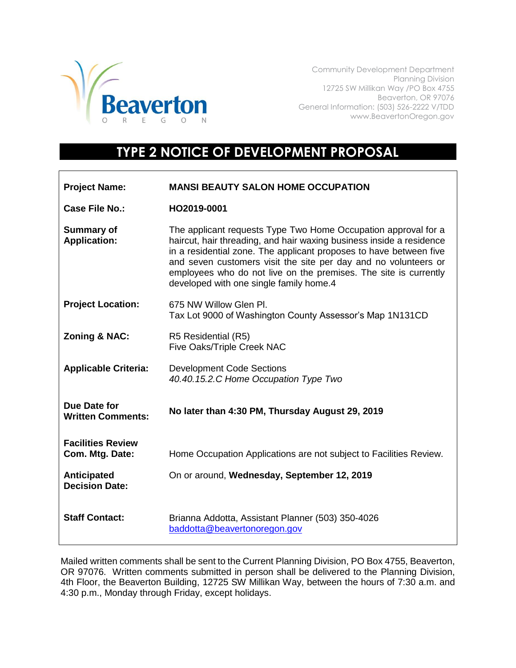

Community Development Department Planning Division 12725 SW Millikan Way /PO Box 4755 Beaverton, OR 97076 General Information: (503) 526-2222 V/TDD www.BeavertonOregon.gov

## **TYPE 2 NOTICE OF DEVELOPMENT PROPOSAL**

| <b>Project Name:</b>                        | <b>MANSI BEAUTY SALON HOME OCCUPATION</b>                                                                                                                                                                                                                                                                                                                                                      |
|---------------------------------------------|------------------------------------------------------------------------------------------------------------------------------------------------------------------------------------------------------------------------------------------------------------------------------------------------------------------------------------------------------------------------------------------------|
| <b>Case File No.:</b>                       | HO2019-0001                                                                                                                                                                                                                                                                                                                                                                                    |
| <b>Summary of</b><br><b>Application:</b>    | The applicant requests Type Two Home Occupation approval for a<br>haircut, hair threading, and hair waxing business inside a residence<br>in a residential zone. The applicant proposes to have between five<br>and seven customers visit the site per day and no volunteers or<br>employees who do not live on the premises. The site is currently<br>developed with one single family home.4 |
| <b>Project Location:</b>                    | 675 NW Willow Glen Pl.<br>Tax Lot 9000 of Washington County Assessor's Map 1N131CD                                                                                                                                                                                                                                                                                                             |
| Zoning & NAC:                               | R5 Residential (R5)<br>Five Oaks/Triple Creek NAC                                                                                                                                                                                                                                                                                                                                              |
| <b>Applicable Criteria:</b>                 | <b>Development Code Sections</b><br>40.40.15.2.C Home Occupation Type Two                                                                                                                                                                                                                                                                                                                      |
| Due Date for<br><b>Written Comments:</b>    | No later than 4:30 PM, Thursday August 29, 2019                                                                                                                                                                                                                                                                                                                                                |
| <b>Facilities Review</b><br>Com. Mtg. Date: | Home Occupation Applications are not subject to Facilities Review.                                                                                                                                                                                                                                                                                                                             |
| Anticipated<br><b>Decision Date:</b>        | On or around, Wednesday, September 12, 2019                                                                                                                                                                                                                                                                                                                                                    |
| <b>Staff Contact:</b>                       | Brianna Addotta, Assistant Planner (503) 350-4026<br>baddotta@beavertonoregon.gov                                                                                                                                                                                                                                                                                                              |

Mailed written comments shall be sent to the Current Planning Division, PO Box 4755, Beaverton, OR 97076. Written comments submitted in person shall be delivered to the Planning Division, 4th Floor, the Beaverton Building, 12725 SW Millikan Way, between the hours of 7:30 a.m. and 4:30 p.m., Monday through Friday, except holidays.